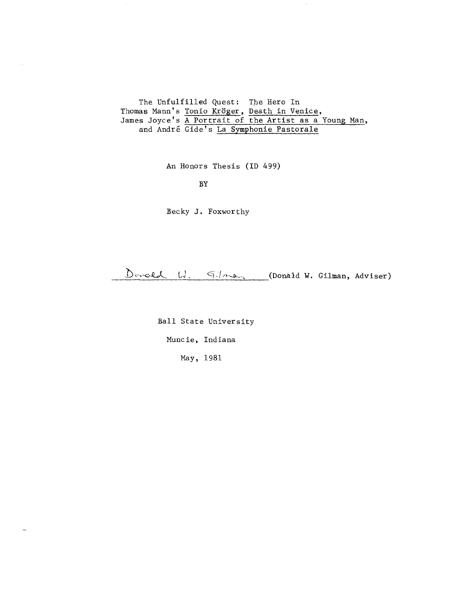The Unfulfilled Quest: The Hero In Thomas Mann's Tonio Kröger, Death in Venice, James Joyce's A Portrait of the Artist as a Young Man, and Andre Gide's La Symphonie Pastorale

An Honors Thesis (ID 499)

BY

 $\sim$ 

.<br>Smrti

Becky J. Foxworthy

 $D$ unced  $U$ .  $Gilman$  (Donald W. Gilman, Adviser)

Ball State University

Muncie, Indiana

May, 1981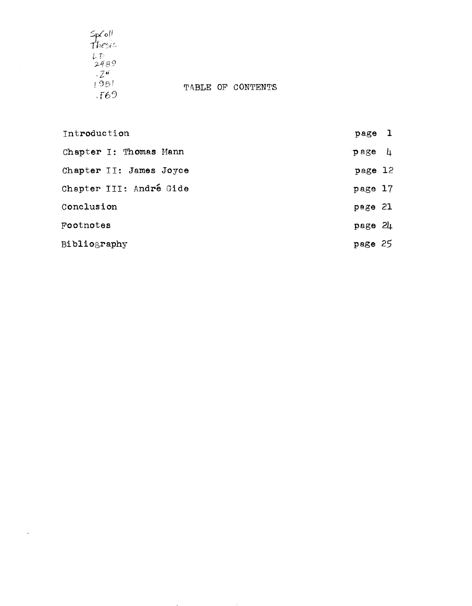$5p$ Coll<br>Thesis  $\mathcal{Z}^{\boldsymbol{\theta}}$  $1581$  $.569$ 

 $\overline{\phantom{a}}$ 

TABLE OF CONTENTS

| Introduction            | page 1                 |  |
|-------------------------|------------------------|--|
| Chapter I: Thomas Mann  | $\mathbf{p}$ age $\mu$ |  |
| Chapter II: James Joyce | page 12                |  |
| Chapter III: André Gide | page 17                |  |
| Conclusion              | page 21                |  |
| Footnotes               | page 24                |  |
| Bibliography            | page 25                |  |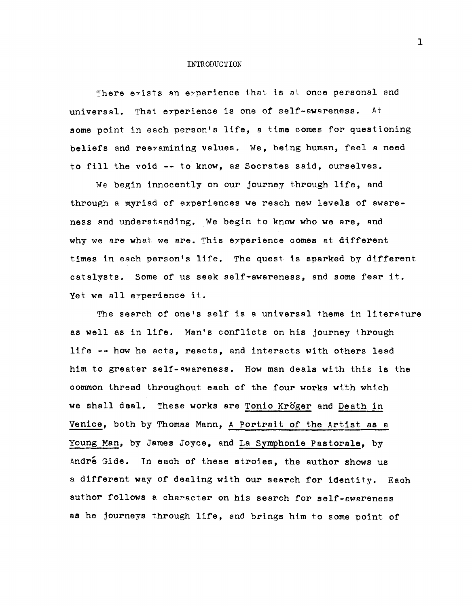#### **INTRODUCTION**

There exists an experience that is at once personal and universal. That eyperience is one of self-awareness. At some point in each person's life, a time comes for questioning beliefs and reeyamining values. We, being human, feel a need to fill the void -- to know, as Socrates said, ourselves.

We begin innocently on our journey through life, and through a myriad of experiences we reach new levels of awareness and understanding. We begin to know who we are, and why we are what we are. This experience comes at different times in each person's life. The quest is sparked by different catalysts. Some of us seek self-awareness, and some fear it. Yet we all eyperience it.

The search of one's self is a universal theme in literature as well as in life. Man's conflicts on his journey through life -- how he acts, reacts, and interacts with others lead him to greater self-awareness. How man deals with this is the common thread throughout each of the four works with which we shall deal. These works are Tonio Kröger and Death in Venice, both by Thomas Mann, A Portrait of the Artist as a young Man, by James Joyce, and La Symphonie Pastorale, by Andre Gide. In each of these stroies, the author shows us a different way of dealing with our search for identity. Each author follows a character on his search for self-awareness as he journeys through life, and brings him to some point of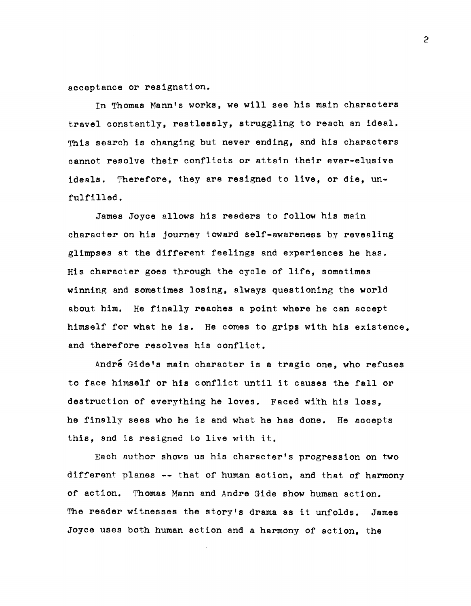acceptance or resignation.

In Thomas Mann's works, we will see his main characters travel constantly, restlessly, struggling to reach an ideal. This search is changing but never ending, and his characters cannot resolve their conflicts or attain their ever-elusive ideals. Therefore, they are resigned to live, or die, unfulfilled.

James Joyce allows his readers to follow his main character on his journey toward self-awareness by revealing glimpses at the different feelings and experiences he has. His character goes through the cycle of life, sometimes winning and sometimes losing, always questioning the world about him. He finally reaches a point where he can accept himself for what he is. He comes to grips with his existence, and therefore resolves his conflict.

André Gide's main character is a tragic one, who refuses to face himself or his conflict until it causes the fall or destruction of everything he loves. Faced with his loss, he finally sees who he is and what he has done. He accepts this, and is resigned to live with it.

Each author shows us his character's progression on two different planes **--** that of human action, and that of harmony of action. Thomas Mann and Andre Gide show human action. The reader witnesses the story's drama as it unfolds. James Joyce uses both human action and a harmony of action, the

 $\mathcal{P}$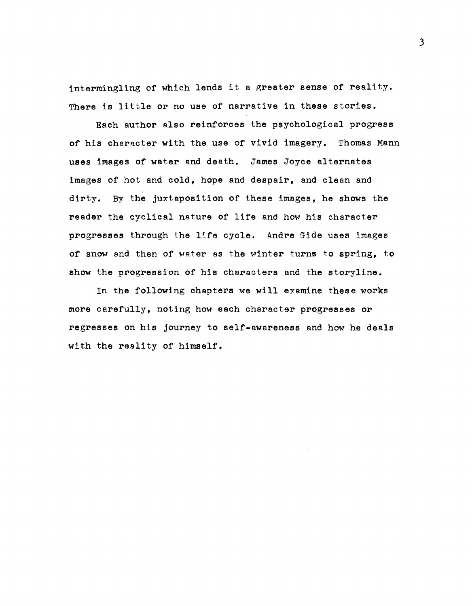intermingling of which lends it a greater sense of reality. There is little or no use of narrative in these stories.

Each author also reinforces the psychological progress of his character with the use of vivid imagery. Thomas Mann uses images of water and death. James Joyce alternates images of hot and cold, hope and despair, and clean and dirty. By the juxtaposition of these images, he shows the reader the cyclical nature of life and how his character progresses through the life cycle. Andre Gide uses images of snow and then of water as the winter turns to spring, to show the progression of his characters and the storyline.

In the following chapters we will examine these works more carefully, noting how each character progresses or regresses on his journey to self-awareness and how he deals with the reality of himself.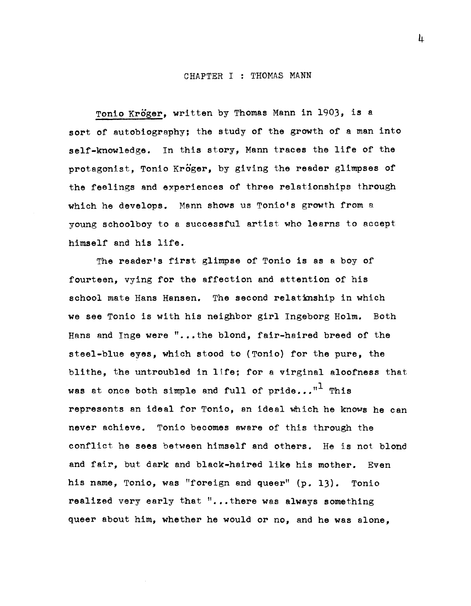### CHAPTER I : THOMAS MANN

Tonio Kröger, written by Thomas Mann in 1903, is a sort of autobiography; the study of the growth of a man into self-knowledge. In this story, Mann traces the life of the protagonist, Tonio Kroger, by giving the reader glimpses of the feelings and experiences of three relationships through which he develops. Menn shows us Tonio's growth from a young schoolboy to a successful artist who learns to accept himself and his life.

The reader's first glimpse of Tonio is as a boy of fourteen, vying for the affection and attention of his school mate Hans Hansen. The second relationship in which we see Tonio is with his neighbor girl Ingeborg Holm. Both Hans and Inge were "...the blond, fair-haired breed of the steel-blue eyes, which stood to (Tonio) for the pure, the blithe, the untroubled in life; for a virginal aloofness that was at once both simple and full of pride..." $^{\text{II}}$  This represents an ideal for Tonio, an ideal which he knows he can never achieve. Tonio becomes aware of this through the conflict he sees between himself and others. He is not blond and fair, but dark and black-haired like his mother. Even his name, Tonio, was "foreign and queer" (p. 13). Tonio realized very early that "...there was always something queer about him, whether he would or no, and he was alone,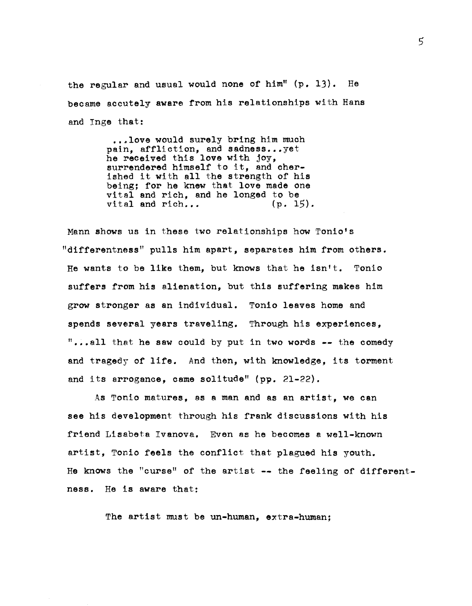the regular and usual would none of him" (p. 13). He became accutely aware from his relationships with Hans and Tnge that:

> ...love would surely bring him much pain, affliction, and sadness...yet he received this love with joy, surrendered himself to it, and cherished it with all the strength of his being; for he knew that love made one vital and rich, and he longed to be vital and rich...  $(p. 15)$ . vital and rich...

Mann shows us in these two relationships how Tonio's "differentness" pulls him apart, separates him from others. He wants to be like them, but knows that he isn't. Tonio suffers from his alienation, but this suffering makes him grow stronger as an individual. Tonio leaves home and spends several years traveling. Through his experiences, "...all that he saw could by put in two words  $--$  the comedy and tragedy of life. And then, with knowledge, its torment and its arrogance, came solitude" (pp. 21-22).

As Tonio matures, as a man and as an artist, we can see his development through his frank discussions with his friend Lisabeta Tvanova. Even as he becomes a well-known artist, Tonio feels the conflict that plagued his youth. He knows the "curse" of the artist -- the feeling of differentness. He is aware that:

The artist must be un-human, extra-human;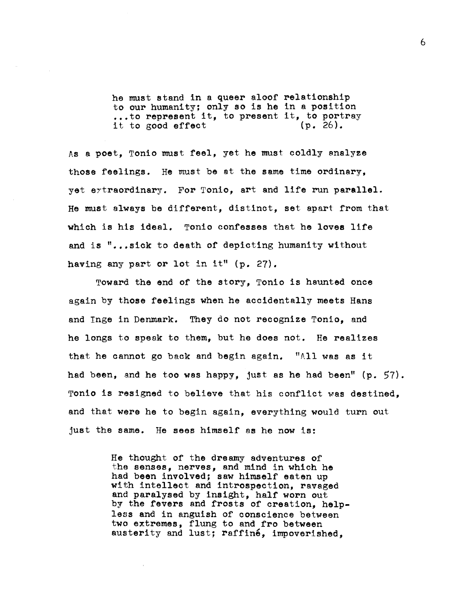he must stand in a queer aloof relationship to our humanity; only so is he in a position ...to represent it, to present it, to portray it to good effect (p. 26).

As a poet, Tonio must feel, yet he must coldly analyze those feelings. He must be at the same time ordinary, yet extraordinary. For Tonio, art and life run parallel. He must always be different, distinct, set apart from that which is his ideal. Tonio confesses that he loves life and is "...sick to death of depicting humanity without having any part or lot in it"  $(p. 27)$ .

Toward the end of the story, Tonio is haunted once again by those feelings when he accidentally meets Hans and Inge in Denmark. They do not recognize Tonio, and he longs to speak to them, but he does not. He realizes that he cannot go back and begin again. "All was as it had been, and he too was happy, just as he had been"  $(p. 57)$ . Tonio is resigned to believe that his conflict was destined, and that were he to begin again, everything would turn out just the same. He sees himself as he now is:

> He thought of the dreamy adventures of the senses, nerves, and mind in which he had been involved; saw himself eaten up with intellect and introspection, ravaged and paralysed by insight, half worn out by the fevers and frosts of creation, helpless and in anguish of conscience between two extremes, flung to and fro between austerity and lust; raffine, impoverished.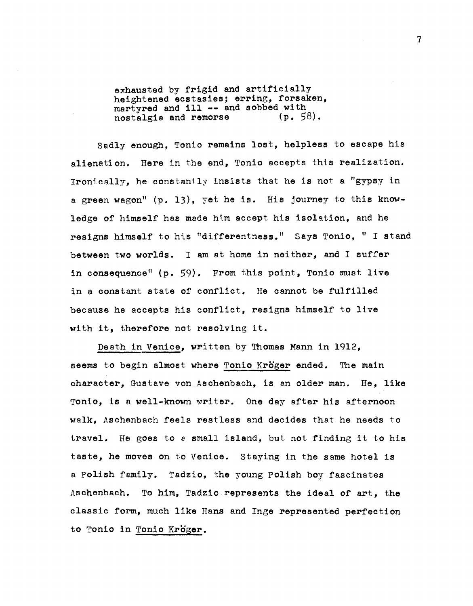exhausted by frigid and artificially heightened ecstasies; erring, forsaken, martyred and ill -- and sobbed with<br>nostalgia and remorse (p. 58). nostalgia and remorse

Sadly enough, Tonio remains lost, helpless to escape his alienation. Here in the end, Tonio accepts this realization. Ironically, he constantly insists that he is not e. "gypsy in a green wagon"  $(p. 13)$ , yet he is. His journey to this knowledge of himself has made him accept his isolation, and he resigns himself to his "differentness." Says Tonio, " I stand between two worlds. I am at home in neither, and I suffer in consequence" (p. 59). From this point, Tonio must live in a constant state of conflict. He cannot be fulfilled because he accepts his conflict, resigns himself to live with it, therefore not resolving it.

Death in Venice, written by Thomas Mann in 1912, seems to begin almost where Tonio Kröger ended. The main character, Gustave von Aschenbach, is an older man. He, like Tonio, is a well-known writer. One day after his afternoon walk, Aschenbach feels restless and decides that he needs to travel. He goes to a small island, but not finding it to his taste, he moves on to Venice. Staying in the same hotel is a Polish family. Tadzio, the young polish boy fascinates Aschenbach. To him, Tadziorepresents the ideal of art, the classic form, much like Hans and Inge represented perfection to Tonio in Tonio Kröger.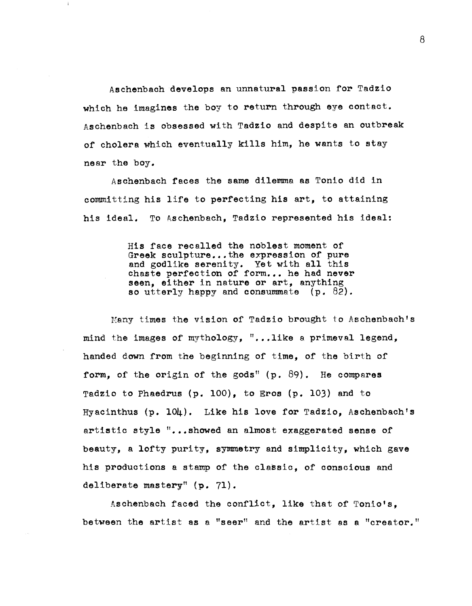Aschenbach develops an unnatural passlon for Tadzio which he imagines the boy to return through eye contact. Aschenbach is obsessed with Tadzio and despite an outbreak of cholera which eventually kills him, he wants to stay near the boy.

Aschenbach faces the same dilemma as Tonio did in committing his life to perfecting his art, to attaining his ideal. To Aschenbach. Tadzio represented his ideal:

> His face recalled the noblest moment of Greek sculpture...the expression of pure and godlike serenity. Yet with all this chaste perfection of form... he had never seen, either in nature or art, anything so utterly happy and consummate  $(p. 82)$ .

Many times the vision of Tadzio brought to Aschenbach's mind the images of mythology,  $\mathsf{I}$ ...like a primeval legend, handed down from the beginning of time, of the birth of form, of the origin of the gods"  $(p. 89)$ . He compares Tadzio to Phaedrus  $(p. 100)$ , to Eros  $(p. 103)$  and to Hyacinthus (p. 104). Like his love for Tadzio, Aschenbach's artistic style "...showed an almost exaggerated sense of beauty, a lofty purity, symmetry and simplicity, which gave his productions a stamp of the classic, of conscious and deliberate mastery" (p. 71).

Aschenbach faced the conflict, like that of Tonio's, between the artist as a "seer" and the artist as a "creator."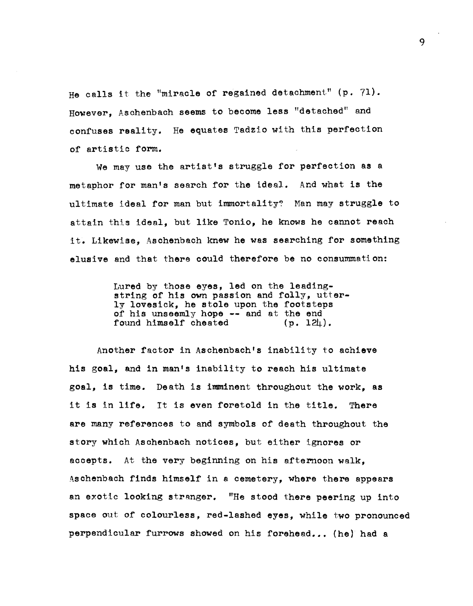He calls it the "miracle of regained detachment" (p. 71). However, Aschenbach seems to become less "detached" and confuses reality. He equates Tadzio with this perfection of artistic form.

We may use the artist's struggle for perfection as a metaphor for man's search for the ideal. And what is the ultimate ideal for man but immortality? Man may struggle to attain this ideal, but like Tonio, he knows he cannot reach it. Likewise, Aschenbach knew he was searching for something elusive and that there could therefore be no consummati on:

> Lured by those eyes, led on the leadingstring of his own passion and folly, utterly lovesick, he stole upon the footsteps of his unseemly hope -- and at the end<br>found himself cheated (p. 124). found himself cheated

Another factor in Aschenbach's inability to achieve his goal, and in man's inability to reach his ultimate goal, is time. Death is imminent throughout the work, as it is in life. It is even foretold in the title. There are many references to and symbols of death throughout the story which Aschenbach notices, but either ignores or accepts. At the very beginning on his afternoon walk, Aschenbach finds himself in a cemetery, where there appears an exotic looking stranger. "He stood there peering up into space out of colourless, red-lashed eyes, while two pronounced perpendicular furrows showed on his forehead... (he) had a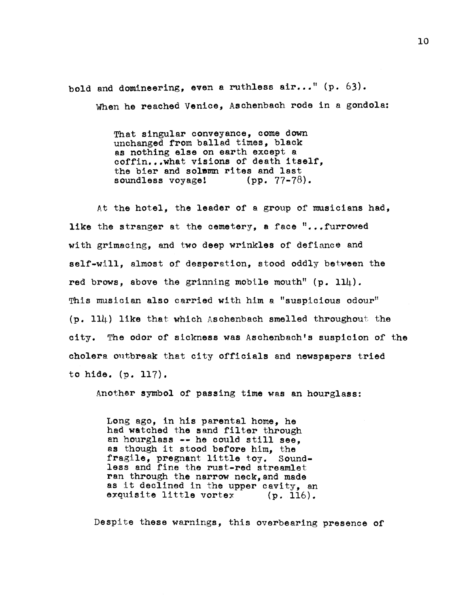bold and domineering, even a ruthless  $air...$ " (p. 63). When he reached Venice, Aschenbach rode in a gondola:

> That singular conveyance, come down unchanged from ballad times, black as nothing else on earth except a coffin...what visions of death itself. the bier and solown rites and last<br>soundless voyage! (pp.  $77-78$ ). soundless voyage!

At the hotel, the leader of a group of musicians had, like the stranger at the cemetery, a face  $\mathbb{I}$ ... furrowed with grimacing, and two deep wrinkles of defiance and self-will, almost of desperation, stood oddly between the red brows, above the grinning mobile mouth"  $(p. 114)$ . This musician also carried with him a "suspicious odour"  $(p. 114)$  like that which Aschenbach smelled throughout the city. The odor of sickness was Aschenbach's suspicion of the cholera outbreak that city officials and newspapers tried to hide. (p. 117).

Another symbol of passing time was an hourglass:

Long ago, in his parental home, he had watched the sand filter through an hourglass -- he could still see, as though it stood before him, the fragile, pregnant little toy. Soundless and fine the rust-red streamlet ran through the narrow neck, and made as it declined in the upper cavity, an exquisite little vortex  $(p. 116)$ . exquisite little vortex

Despite these warnings, this overbearing presence of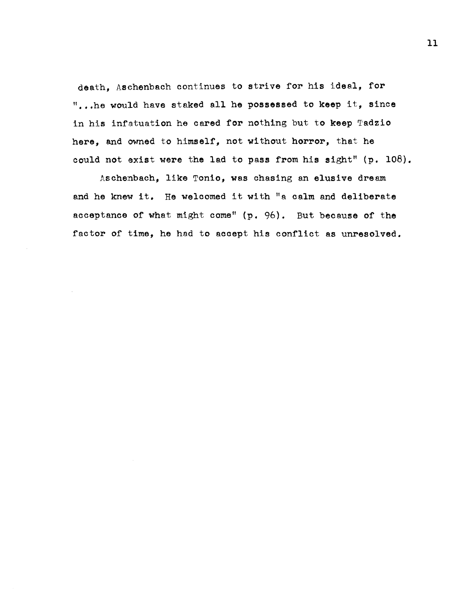death. Aschenbach continues to strive for his ideal, for "...he would have staked all he possessed to keep it, since in his infatuation he cared for nothing but to keep Tadzio here, and owned to himself, not without horror, that he could not exist were the lad to pass from his sight"  $(p. 108)$ .

Aschenbach, like Tonio, was chasing an elusive dream and he knew it. He welcomed it with "a calm and deliberate acceptance of what might come" (p. 96). But because of the factor of time, he had to accept his conflict as unresolved.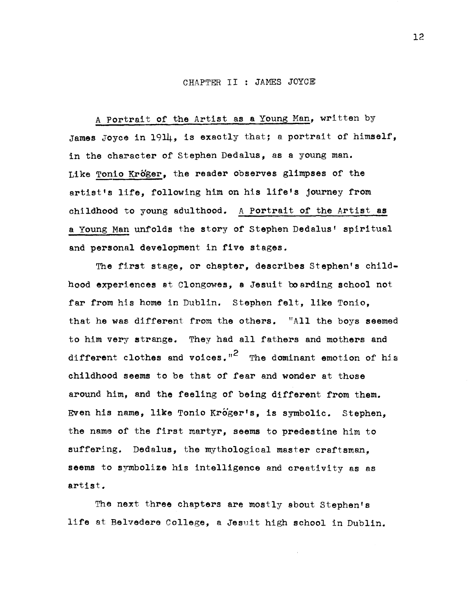## CHAPTER II JAMES JOYCE

A Portrait of the Artist as a Young Man, written by James Joyce in 1914, is exactly that; a portrait of himself, in the character of Stephen Dedalus, as a young man. Like Tonio Kroger, the reader observes glimpses of the artist's life, following him on his life's journey from childhood to young adulthood. A Portrait of the Artist as a Young Man unfolds the story of Stephen Dedalus' spiritual and personal development in five stages.

The first stage, or chapter, describes Stephen's childhood experiences at Clongowes, a Jesuit boarding school not far from his home in Dublin. Stephen felt, like Tonio, that he was different from the others. "All the boys seemed to him very strange. They had all fathers and mothers and different clothes and voices."<sup>2</sup> The dominant emotion of his childhood seems to be that of fear and wonder at those around him, and the feeling of being different from them. Even his name, like Tonio Króger's, is symbolic. Stephen. the name of the first martyr, seems to predestine him to suffering. Dedalus, the mythological master craftsman, seems to symbolize his intelligence and creativity as as artist.

The next three chapters are mostly about Stephen's life at Belvedere College, a Jesuit high school in Dublin.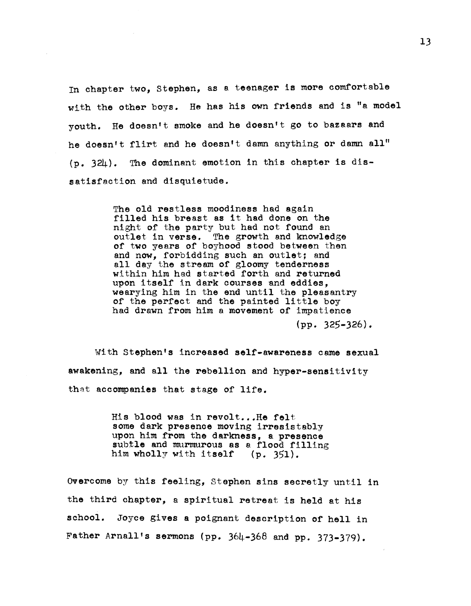In chapter two, stephen, as a teenager is more comfortable with the other boys. He has his own friends and is "a model youth. He doesn't smoke and he doesn't go to bazaars and he doesn't flirt and he doesn't damn anything or damn all" (p. 324). The dominant emotion in this chapter is dissatisfaction and disquietude.

> The old restless moodiness had again filled his breast as it had done on the night of the party but had not found an outlet in verse. The growth and knowledge of two years of boyhood stood between then and now, forbidding such an outlet; and all day the stream of gloomy tenderness within him had started forth and returned upon itself in dark courses and eddies, wearying him in the end until the pleasantry of the perfect and the painted little boy had drawn from him a movement of impatience (pp. 325-326).

With Stephen's increased self-awareness came sexual awakening, and all the rebellion and hyper-sensitivity that accompanies that stage of life.

> His blood was in revolt... He felt some dark presence moving irresistably<br>upon him from the darkness, a presence subtle and murmurous as a flood filling<br>him wholly with itself  $(p. 351)$ . him wholly with itself

Overcome by this feeling, Stephen sins secretly until in the third chapter, a spiritual retreat is held at his school. Joyce gives a poignant description of hell in Father Arnall's sermons (pp. 364-368 and pp. 373-379).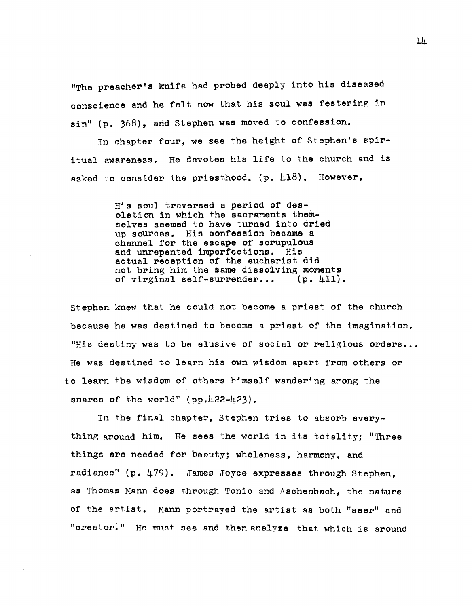"The preacher's knife had probed deeply into his diseased conscience and he felt now that his soul was festering in  $sin''$  (p. 368), and Stephen was moved to confession.

In chapter four, we see the height of Stephen's spiritual awareness. He devotes his life to the church and is asked to consider the priesthood. (p.  $\mu$ 18). However,

> His soul traversed a period of desolation in which the sacraments themselves seemed to have turned into dried up sources. His confession became a channel for the escape of scrupulous and unrepented imperfections. His actual reception of the eucharist did not bring him the same disso1ving moments of virginal self-surrender... (p.4ll).

stephen knew that he could not become a priest of the church because he was destined to become a priest of the imagination. "His destiny was to be elusive of social or religious orders... He was destined to learn his own wisdom apart from others or to learn the wisdom of others himself wandering among the snares of the world"  $(pp.422-423)$ .

In the final chapter, Stephen tries to absorb everything around him. He sees the world in its totality: "Three things are needed for beauty; wholeness, harmony, and radiance" (p. 479). James Joyce expresses through Stephen. as Thomas Mann does through Tonio and Aschenbach, the nature of the artist. Mann portrayed the artist as both "seer" and "creator." He must see and then analyze that which is around

 $1<sup>h</sup>$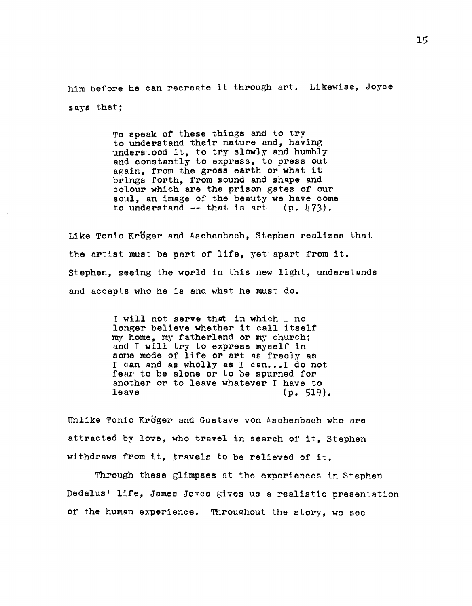him before he can recreate it through art. Likewise, Joyce says that;

> To speak of these things and to try to understand their nature and, having understood it, to try slowly and humbly and constantly to express, to press out again, from the gross earth or what it brings forth. from sound and shape and colour which are the prison gates of our soul, an image of the beauty we have come<br>to understand  $--$  that is art (p. 473). to understand  $--$  that is art

Like Tonio Kröger and Aschenbach, Stephen realizes that the artist must be part of life, yet apart from it. Stephen, seeing the world in this new light, understands and accepts who he is end whet he must do.

> I will not serve that in which I no longer believe whether it call itself my home, my fatherland or my church; and I will try to express myself in some mode of life or art as freely as I can and as wholly as I can...I do not fear to be alone or to be spurned for another or to leave whatever I have to<br>leave  $(n, 519)$  $(p. 519)$ .

Unlike Tonio Kröger and Gustave von Aschenbach who are attracted by love, who travel in search of it. Stephen withdraws from it, travels to be relieved of it.

Through these glimpses at the experiences in Stephen Dedalus' life, James Joyce gives us a realistic presentation of the human experience. Throughout the story, we see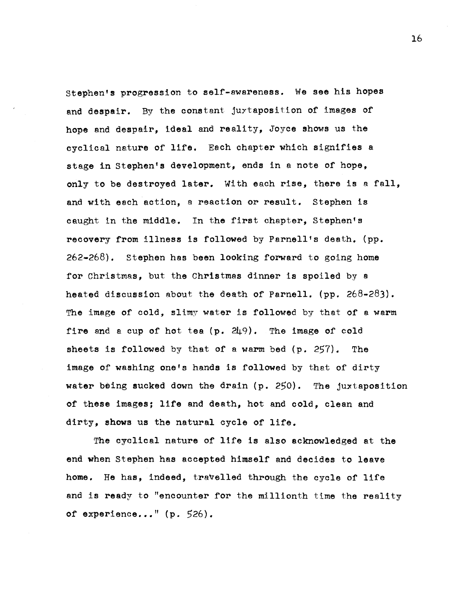stephen's progression to self-awareness. We see his hopes and despair. By the constant juytaposition of images of hope and despair, ideal and reality, Joyce shows us the cyclical nature of life. Each chapter which signifies a stage in Stephen's development, ends in a note of hope, only to be destroyed later. With each rise, there is a fall, and with each action, a reaction or result. Stephen is caught in the middle. In the first chapter, Stephen's recovery from illness is followed by Parnell's death. (pp. 262-268). stephen has been looking forward to going home for Christmas, but the Christmas dinner is spoiled by a heated discussion about the death of Parnell. (pp.  $268-283$ ). The image of cold, slimy water is followed by that of a warm fire and a cup of hot tea  $(p. 249)$ . The image of cold sheets is followed by that of a warm bed (p. 257). The image of washing one's hands is followed by that of dirty water being sucked down the drain (p. 250). The juxtaposition of these images; life and death, hot and oold, clean and dirty, shows us the natural cycle of life.

The cyelical nature of life is also acknowledged at the end when Stephen has accepted himself and decides to leave home. He has, indeed, travelled through the cycle of life and is ready to "encounter for the millionth time the reality of experience..."  $(p. 526)$ .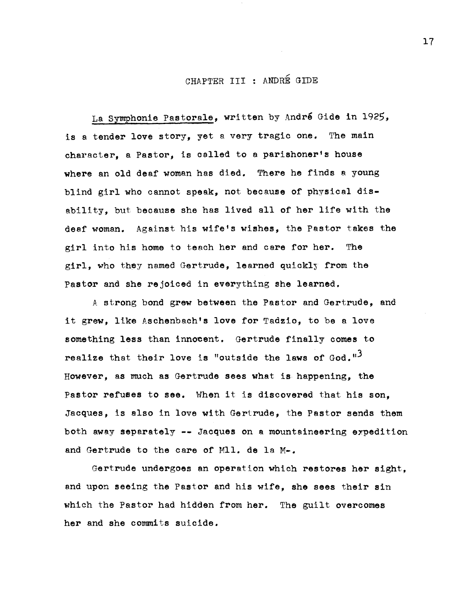# CHAPTER III : ANDRÉ GIDE

La Symphonie Pastorale, written by Andre Gide in 1925, is a tender love story, yet a very tragic one. The main character, a Pastor, is called to a parishoner's house where an old deaf woman has died. There he finds a young blind girl who cannot speak, not because of physical disability, but because she has lived all of her life with the deaf woman. Against his wife's wishes, the Pastor takes the girl into his home to teach her and care for her. The girl, who they named Gertrude, learned quickly from the Pastor and she rejoiced in everything she learned.

A strong bond grew between the Pastor and Gertrude, and it grew, like Aschenbach's love for Tadzio, to be a love something less than innocent. Gertrude finally comes to realize that their love is "outside the laws of  $God.$ "<sup>3</sup> However, as much as Gertrude sees what is happening, the Pastor refuses to see. When it is discovered that his son, Jacques, is also in love with Gertrude, the Pastor sends them both away separately  $-$ - Jacques on a mountaineering expedition and Gertrude to the care of Mll. de la M-.

Gertrude undergoes an operation which restores her sight, and upon seeing the Pastor and his wife, she sees their sin which the Pastor had hidden from her. The guilt overcomes her and she commits suicide.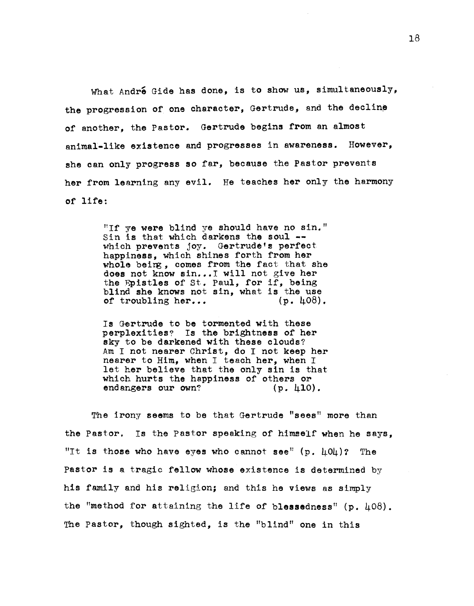What André Gide has done, is to show us, simultaneously, the progression of one character, Gertrude, and the decline of another, the Pastor. Gertrude begins from an almost animal-like existence and progresses in awareness. However, she can only progress so far, because the Pastor prevents her from learning any evil. He teaches her only the harmony of life:

> "If ye were blind ye should have no sin." Sin Is that which darkens the soul **-** which prevents joy. Gertrude's perfect happiness, which shines forth from her whole beirg, comes from the fact that she does not know sin... I will not give her<br>the Epistles of St. Paul, for if, being blind she knows not sin, what is the use<br>of troubling her...  $(p. \; \mu 08)$ . of troubling her...

> Is Gertrude to be tormented with these perplexities? Is the brightness of her sky to be darkened with these clouds? Am I not nearer Christ, do I not keep her nearer to Him, when I teach her, when I let her believe that the only sin is that which hurts the happiness of others or endangers our own? (p. 410).

The irony seems to be that Gertrude "sees" more than the Pastor. Is the Pastor speaking of himself when he says, "It is those who have eyes who cannot see"  $(p \cdot \mu 0\mu)$ ? The Pastor is a tragic fellow whose existence is determined by his family and his religion; and this he views as simply the "method for attaining the life of blessedness"  $(p. 408)$ . The Pastor, though sighted, is the "blind" one in this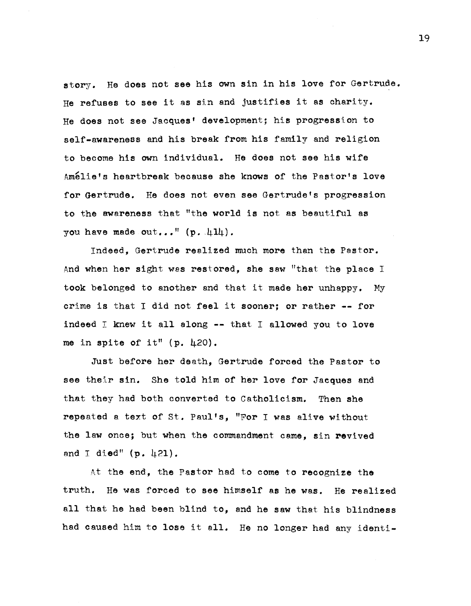story. He does not see his own sin in his love for Gertrude. He refuses to see it as sin and justifies it as charity. He does not see Jacques' development; his progression to self-awareness and his break from his family and religion to become his own individual. He does not see his wife Amelie's heartbreak because she knows of the Pastor's love for Gertrude. He does not even see Gertrude's progression to the awareness that "the world is not as beautiful as you have made out..."  $(p. 414)$ .

Indeed, Gertrude realized much more than the Pastor. And when her sight was restored, she saw "that the place <sup>I</sup> took belonged to another and that it made her unhappy. My crime is that I did not feel it sooner; or rather -- for indeed  $I$  knew it all along  $-$ - that I allowed you to love me in spite of it"  $(p. 420)$ .

Just before her death, Gertrude forced the Pastor to see their sin. She told him of her love for Jacques and that they had both converted to Catholicism. Then she repeated a text of St. Paul's, "For I was alive wi thout the law once; but when the commandment came, sin revived and I died"  $(p. 421)$ .

At the end, the Pastor had to come to recognize the truth. He was forced to see himself as he was. He realized all that he had been blind to, and he saw that his blindness had caused him to lose it all. He no longer had any identi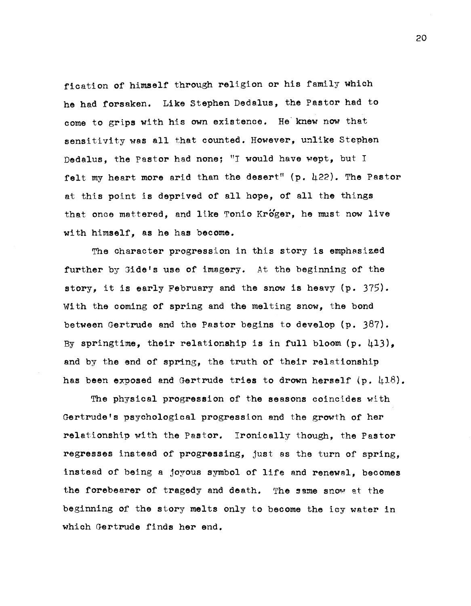fication of himself through religion or his family which he had forsaken. Like Stephen Dedalus, the Pastor had to come to grips with his own existence. He' knew now that sensitivity was all that counted. However, unlike Stephen Dedalus, the Pastor had none; "I would have wept, but I felt my heart more arid than the desert"  $(p. 422)$ . The Pastor at this point is deprived of all hope, of all the things that once mattered, and like Tonio Kroger, he must now live with himself, as he has become.

The character progression in this story is emphasized further by Gide's use of imagery. At the beginning of the story, it is early February and the snow is heavy (p. 375). With the coming of spring and the melting snow, the bond between Gertrude and the Pastor begins to develop  $(p. 387)$ . By springtime, their relationship is in full bloom  $(p. 413)$ . and by the end of spring, the truth of their relationship has been exposed and Gertrude tries to drown herself (p. 418).

The physical progression of the seasons coincides with Gertrude's psychological progression and the growth of her relationship with the Pastor. Ironically though, the Pastor regresses instead of progressing, just as the turn of spring, instead of being a joyous symbol of life and renewal, becomes the forebearer of tragedy and death. The same snow at the beginning of the story melts only to become the icy water in which Gertrude finds her end.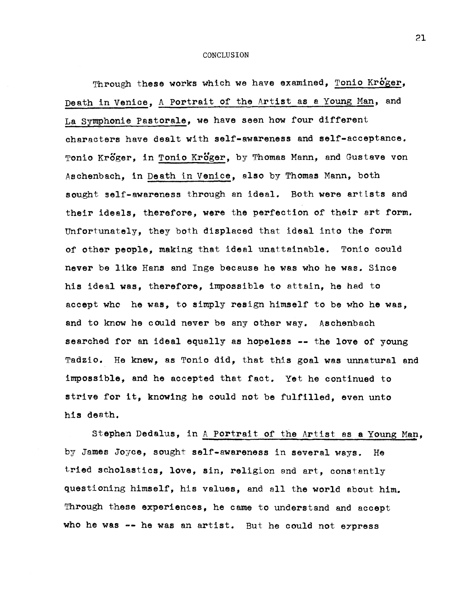CONCLUSION

Through these works which we have examined, Tonio Kroger, Death in Venice, A Portrait of the Artist as a Young Man, and La symphonie Pastorale, we have seen how four different characters have dealt with self-awareness and self-acceptance. Tonio Kröger, in Tonio Kröger, by Thomas Mann, and Gustave von Aschenbach, in Death in Venice, also by Thomas Mann, both sought self-awareness through an ideal. Both were artists and their ideals, therefore, were the perfection of their art form. Unfortunately, they both displaced that ideal into the form of other people, making that ideal unattainable. Tonio could never be like Hans and lnge because he was who he was. Since his ideal was, therefore, impossible to attain, he had to accept who he was, to simply resign himself to be who he was, and to know he could never be any other way. Aschenbach searched for an ideal equally as hopeless  $-$ - the love of young Tadzio. He knew, as Tonio did, that this goal was unnatural and impossible, and he accepted that fact. Yet he continued to strive for it, knowing he could not be fulfilled, even unto his death.

Stephen Dedalus, in A Portrait of the Artist as a Young Man. by James Joyce, sought self-awareness in several ways. He tried scholastics, love, sin, religion and art, constantly questioning himself, his values, and all the world about him. Through these experiences, he came to understand and accept who he was  $-$  he was an artist. But he could not express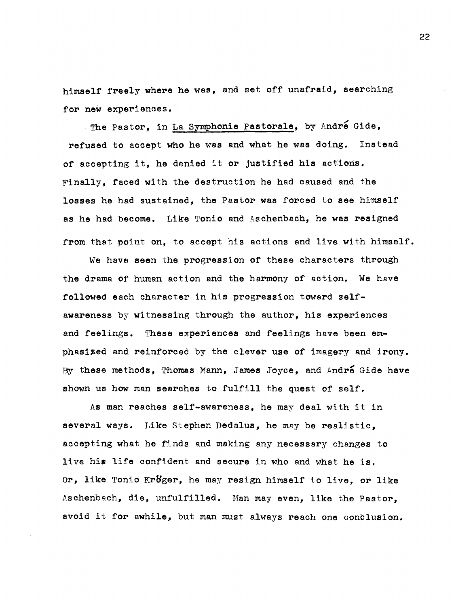himself freely where he was, and set off unafraid, searching for new experiences.

The Pastor, in La Symphonie Pastorale, by André Gide, refused to acoept who he was and what he was doing. Instead of accepting it, he denied it or justified his actions. Finally, faoed with the destruction he had caused and the losses he had sustained, the Pastor was forced to see himself as he had become. Like Tonio and Asohenbach, he was resigned from that point on, to accept his actions and live with himself.

We have seen the progression of these characters through the drama of human aotion and the harmony of action. We heve followed each character in his progression toward selfawareness by witnessing through the author, his experiences and feelings. These experiences and feelings have been emphasized and reinforced by the clever use of imagery and irony. By these methods, Thomas Mann, James Joyce, and André Gide have shown us how man searches to fulfill the quest of self.

As man reaches self-awareness, he may deal with it in several ways. Like Stephen Dedalus, he may be realistio, acoepting what he finds and making any necessary changes to live his life confident and secure in who and what he is. Or, like Tonio Kröger, he may resign himself to live, or like Aschenbach, die, unfulfilled. Han may even, like the Pastor, avoid it for awhile, but man must always reach one conclusion.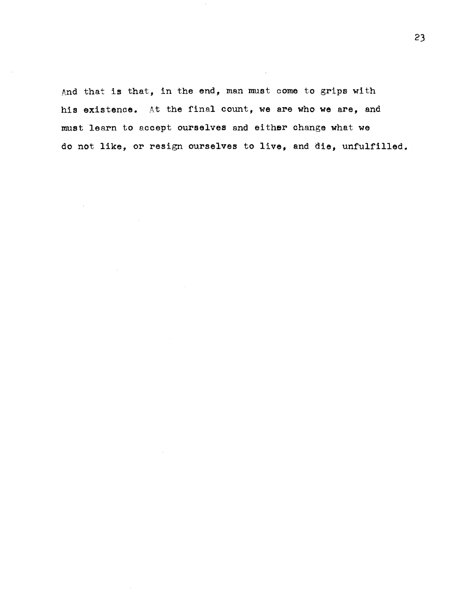And that is that, in the end, man must come to grips with his existence. At the final count, we are who we are, and must learn to accept ourselves and either change what we do not like, or resign ourselves to live, and die, unfulfilled.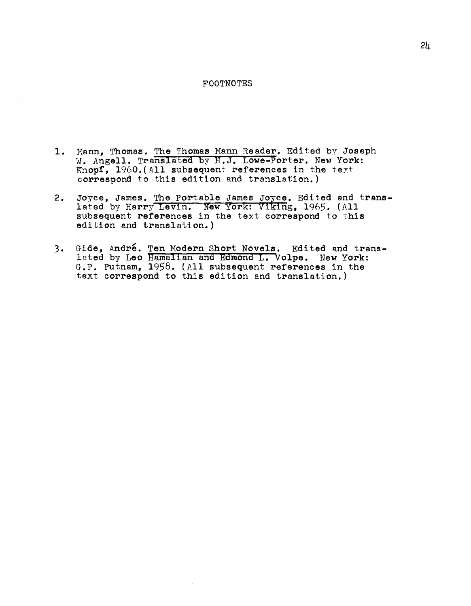### FOOTNOTES

- 1. Mann, Thomas. The Thomas Mann Reader. Edited by Joseph W. Angell. Translated by H.J. Lowe-Porter. New York: Knopf, 1960.(All subsequent references in the teyt correspond to this edition and translation.)
- 2. Joyce, James. The Portable James Joyce. Edited and transdoyce, sames. The fortable sames soyce. Edited and lated by Harry Levin. New York: Viking, 1965. (All subsequent references in the text correspond to this edition and translation.)
- 3. Gide, André. Ten Modern Short Novels. Edited and translated by Leo Hamalian and Edmond L. Volpe. New York: G.P. Putnam, 1958. (All subsequent references in the text correspond to this edition and translation.)